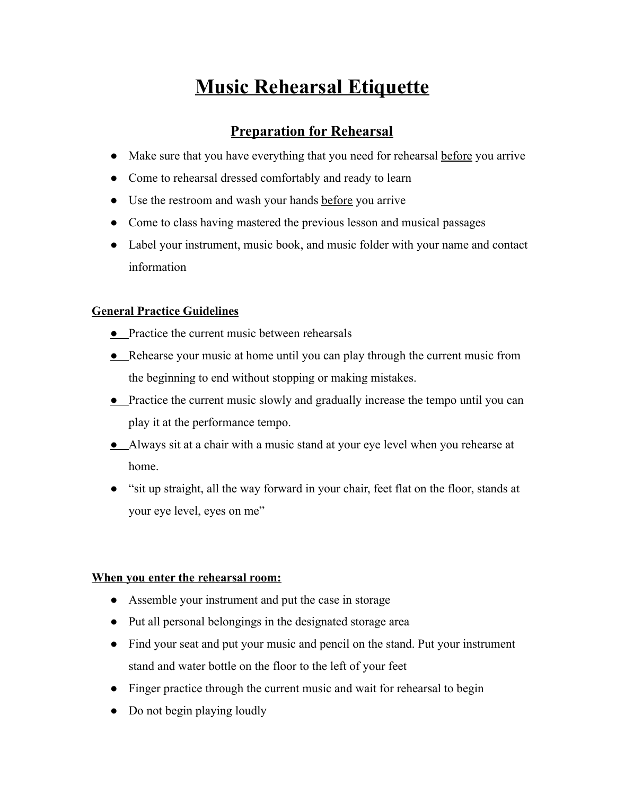# **Music Rehearsal Etiquette**

# **Preparation for Rehearsal**

- Make sure that you have everything that you need for rehearsal before you arrive
- Come to rehearsal dressed comfortably and ready to learn
- Use the restroom and wash your hands before you arrive
- Come to class having mastered the previous lesson and musical passages
- Label your instrument, music book, and music folder with your name and contact information

#### **General Practice Guidelines**

- Practice the current music between rehearsals
- Rehearse your music at home until you can play through the current music from the beginning to end without stopping or making mistakes.
- Practice the current music slowly and gradually increase the tempo until you can play it at the performance tempo.
- Always sit at a chair with a music stand at your eye level when you rehearse at home.
- "sit up straight, all the way forward in your chair, feet flat on the floor, stands at your eye level, eyes on me"

#### **When you enter the rehearsal room:**

- Assemble your instrument and put the case in storage
- Put all personal belongings in the designated storage area
- Find your seat and put your music and pencil on the stand. Put your instrument stand and water bottle on the floor to the left of your feet
- Finger practice through the current music and wait for rehearsal to begin
- Do not begin playing loudly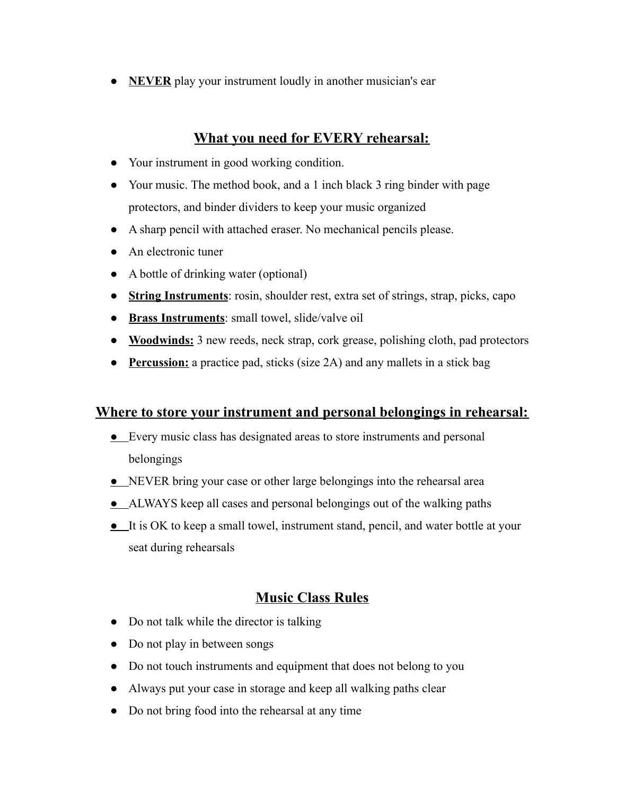● **NEVER** play your instrument loudly in another musician's ear

# **What you need for EVERY rehearsal:**

- Your instrument in good working condition.
- Your music. The method book, and a 1 inch black 3 ring binder with page protectors, and binder dividers to keep your music organized
- A sharp pencil with attached eraser. No mechanical pencils please.
- An electronic tuner
- A bottle of drinking water (optional)
- **String Instruments**: rosin, shoulder rest, extra set of strings, strap, picks, capo
- **Brass Instruments**: small towel, slide/valve oil
- **Woodwinds:** 3 new reeds, neck strap, cork grease, polishing cloth, pad protectors
- **Percussion:** a practice pad, sticks (size 2A) and any mallets in a stick bag

### **Where to store your instrument and personal belongings in rehearsal:**

- Every music class has designated areas to store instruments and personal belongings
- NEVER bring your case or other large belongings into the rehearsal area
- ALWAYS keep all cases and personal belongings out of the walking paths
- It is OK to keep a small towel, instrument stand, pencil, and water bottle at your seat during rehearsals

# **Music Class Rules**

- Do not talk while the director is talking
- Do not play in between songs
- Do not touch instruments and equipment that does not belong to you
- Always put your case in storage and keep all walking paths clear
- Do not bring food into the rehearsal at any time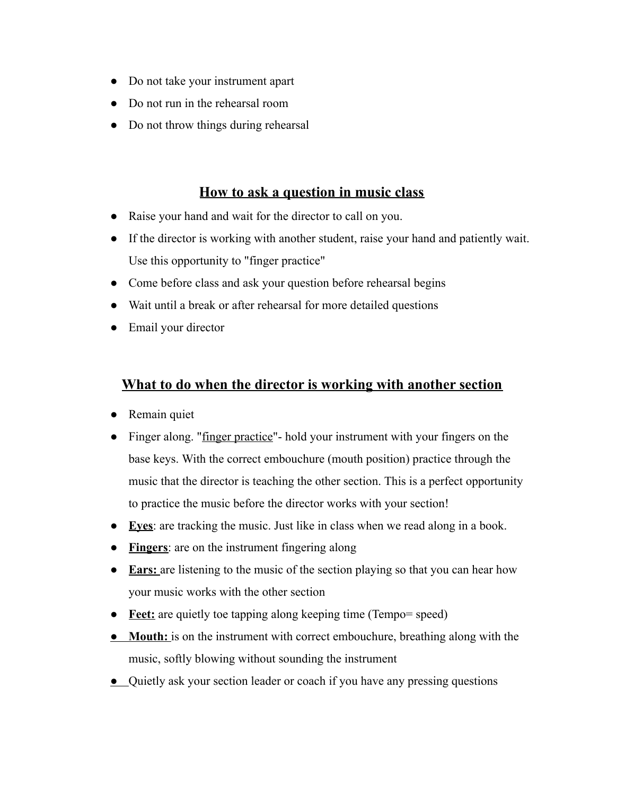- Do not take your instrument apart
- Do not run in the rehearsal room
- Do not throw things during rehearsal

# **How to ask a question in music class**

- Raise your hand and wait for the director to call on you.
- If the director is working with another student, raise your hand and patiently wait. Use this opportunity to "finger practice"
- Come before class and ask your question before rehearsal begins
- Wait until a break or after rehearsal for more detailed questions
- Email your director

### **What to do when the director is working with another section**

- Remain quiet
- Finger along. "finger practice"- hold your instrument with your fingers on the base keys. With the correct embouchure (mouth position) practice through the music that the director is teaching the other section. This is a perfect opportunity to practice the music before the director works with your section!
- **Eyes**: are tracking the music. Just like in class when we read along in a book.
- **Fingers**: are on the instrument fingering along
- **Ears:** are listening to the music of the section playing so that you can hear how your music works with the other section
- **Feet:** are quietly toe tapping along keeping time (Tempo= speed)
- **Mouth:** is on the instrument with correct embouchure, breathing along with the music, softly blowing without sounding the instrument
- Quietly ask your section leader or coach if you have any pressing questions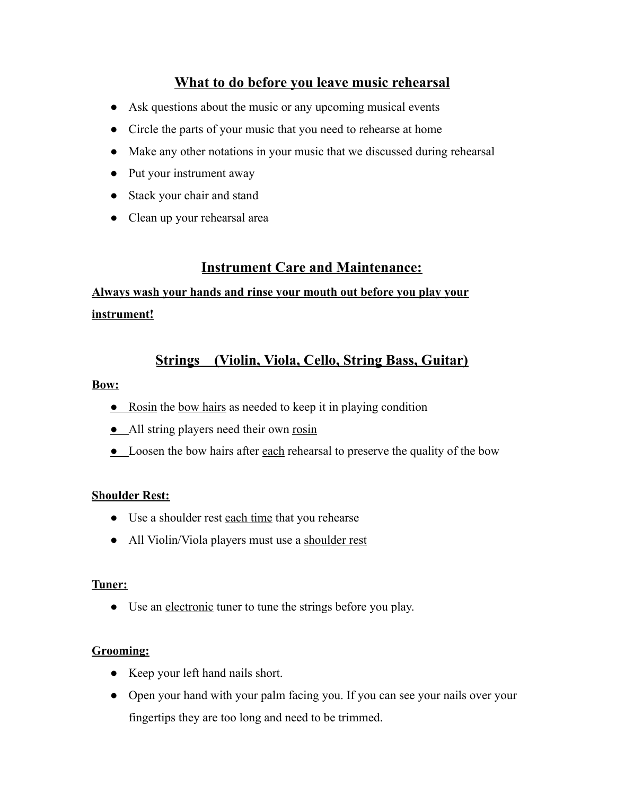# **What to do before you leave music rehearsal**

- Ask questions about the music or any upcoming musical events
- Circle the parts of your music that you need to rehearse at home
- Make any other notations in your music that we discussed during rehearsal
- Put your instrument away
- Stack your chair and stand
- Clean up your rehearsal area

# **Instrument Care and Maintenance:**

# **Always wash your hands and rinse your mouth out before you play your instrument!**

# **Strings (Violin, Viola, Cello, String Bass, Guitar)**

#### **Bow:**

- Rosin the bow hairs as needed to keep it in playing condition
- All string players need their own rosin
- Loosen the bow hairs after each rehearsal to preserve the quality of the bow

#### **Shoulder Rest:**

- Use a shoulder rest each time that you rehearse
- All Violin/Viola players must use a shoulder rest

#### **Tuner:**

• Use an electronic tuner to tune the strings before you play.

#### **Grooming:**

- Keep your left hand nails short.
- Open your hand with your palm facing you. If you can see your nails over your fingertips they are too long and need to be trimmed.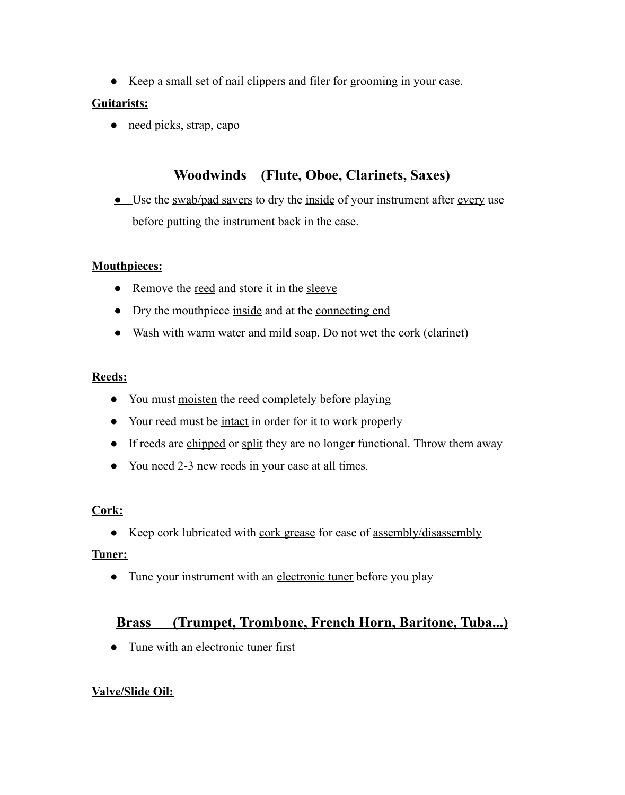● Keep a small set of nail clippers and filer for grooming in your case.

### **Guitarists:**

• need picks, strap, capo

# **Woodwinds (Flute, Oboe, Clarinets, Saxes)**

• Use the swab/pad savers to dry the inside of your instrument after every use before putting the instrument back in the case.

# **Mouthpieces:**

- Remove the <u>reed</u> and store it in the sleeve
- Dry the mouthpiece inside and at the connecting end
- Wash with warm water and mild soap. Do not wet the cork (clarinet)

### **Reeds:**

- You must moisten the reed completely before playing
- Your reed must be <u>intact</u> in order for it to work properly
- If reeds are chipped or split they are no longer functional. Throw them away
- You need 2-3 new reeds in your case at all times.

# **Cork:**

• Keep cork lubricated with cork grease for ease of assembly/disassembly

# **Tuner:**

• Tune your instrument with an electronic tuner before you play

# **Brass (Trumpet, Trombone, French Horn, Baritone, Tuba...)**

• Tune with an electronic tuner first

# **Valve/Slide Oil:**